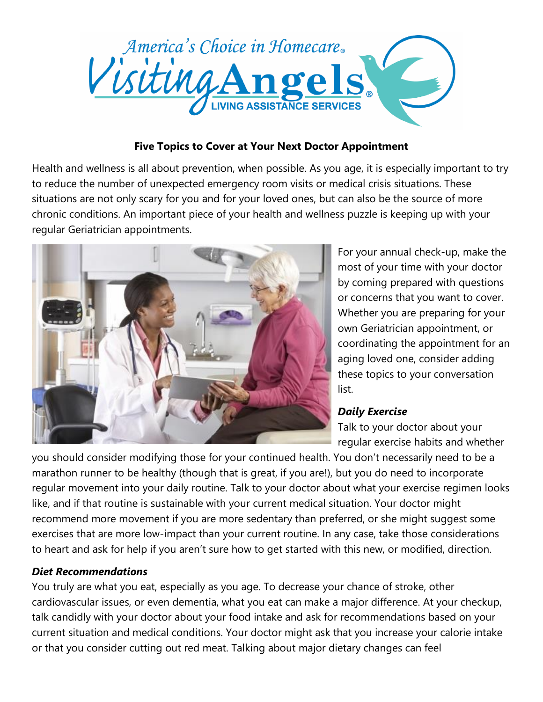

## **Five Topics to Cover at Your Next Doctor Appointment**

Health and wellness is all about prevention, when possible. As you age, it is especially important to try to reduce the number of unexpected emergency room visits or medical crisis situations. These situations are not only scary for you and for your loved ones, but can also be the source of more chronic conditions. An important piece of your health and wellness puzzle is keeping up with your regular Geriatrician appointments.



For your annual check-up, make the most of your time with your doctor by coming prepared with questions or concerns that you want to cover. Whether you are preparing for your own Geriatrician appointment, or coordinating the appointment for an aging loved one, consider adding these topics to your conversation list.

# *Daily Exercise*

Talk to your doctor about your regular exercise habits and whether

you should consider modifying those for your continued health. You don't necessarily need to be a marathon runner to be healthy (though that is great, if you are!), but you do need to incorporate regular movement into your daily routine. Talk to your doctor about what your exercise regimen looks like, and if that routine is sustainable with your current medical situation. Your doctor might recommend more movement if you are more sedentary than preferred, or she might suggest some exercises that are more low-impact than your current routine. In any case, take those considerations to heart and ask for help if you aren't sure how to get started with this new, or modified, direction.

#### *Diet Recommendations*

You truly are what you eat, especially as you age. To decrease your chance of stroke, other cardiovascular issues, or even dementia, what you eat can make a major difference. At your checkup, talk candidly with your doctor about your food intake and ask for recommendations based on your current situation and medical conditions. Your doctor might ask that you increase your calorie intake or that you consider cutting out red meat. Talking about major dietary changes can feel